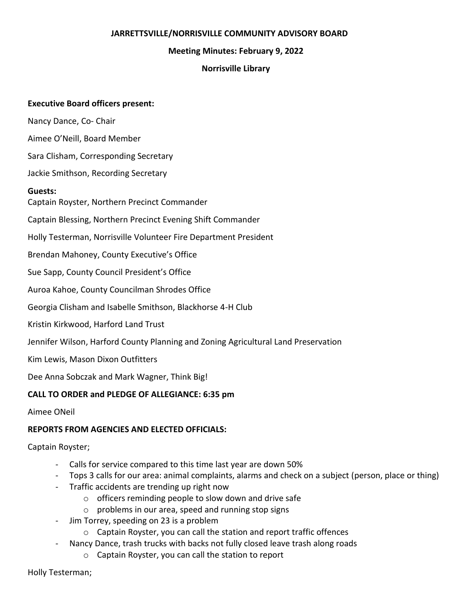### **JARRETTSVILLE/NORRISVILLE COMMUNITY ADVISORY BOARD**

### **Meeting Minutes: February 9, 2022**

## **Norrisville Library**

## **Executive Board officers present:**

Nancy Dance, Co- Chair

Aimee O'Neill, Board Member

Sara Clisham, Corresponding Secretary

Jackie Smithson, Recording Secretary

## **Guests:**

Captain Royster, Northern Precinct Commander

Captain Blessing, Northern Precinct Evening Shift Commander

Holly Testerman, Norrisville Volunteer Fire Department President

Brendan Mahoney, County Executive's Office

Sue Sapp, County Council President's Office

Auroa Kahoe, County Councilman Shrodes Office

Georgia Clisham and Isabelle Smithson, Blackhorse 4-H Club

Kristin Kirkwood, Harford Land Trust

Jennifer Wilson, Harford County Planning and Zoning Agricultural Land Preservation

Kim Lewis, Mason Dixon Outfitters

Dee Anna Sobczak and Mark Wagner, Think Big!

# **CALL TO ORDER and PLEDGE OF ALLEGIANCE: 6:35 pm**

Aimee ONeil

# **REPORTS FROM AGENCIES AND ELECTED OFFICIALS:**

#### Captain Royster;

- Calls for service compared to this time last year are down 50%
- Tops 3 calls for our area: animal complaints, alarms and check on a subject (person, place or thing)
- Traffic accidents are trending up right now
	- o officers reminding people to slow down and drive safe
	- o problems in our area, speed and running stop signs
- Jim Torrey, speeding on 23 is a problem
	- o Captain Royster, you can call the station and report traffic offences
- Nancy Dance, trash trucks with backs not fully closed leave trash along roads
	- o Captain Royster, you can call the station to report

Holly Testerman;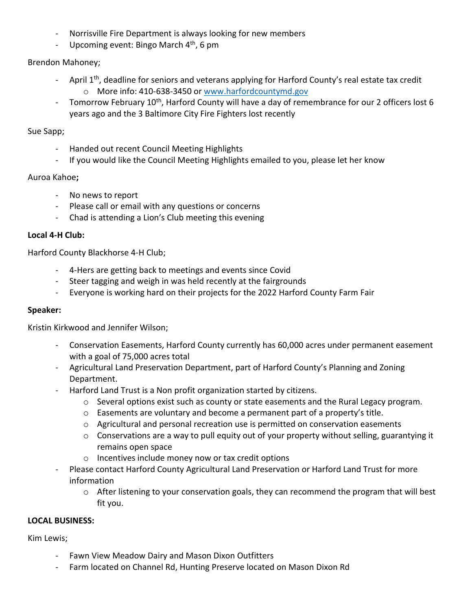- Norrisville Fire Department is always looking for new members
- Upcoming event: Bingo March 4<sup>th</sup>, 6 pm

## Brendon Mahoney;

- April  $1<sup>th</sup>$ , deadline for seniors and veterans applying for Harford County's real estate tax credit o More info: 410-638-3450 or [www.harfordcountymd.gov](http://www.harfordcountymd.gov/)
- Tomorrow February 10<sup>th</sup>, Harford County will have a day of remembrance for our 2 officers lost 6 years ago and the 3 Baltimore City Fire Fighters lost recently

#### Sue Sapp;

- Handed out recent Council Meeting Highlights
- If you would like the Council Meeting Highlights emailed to you, please let her know

#### Auroa Kahoe**;**

- No news to report
- Please call or email with any questions or concerns
- Chad is attending a Lion's Club meeting this evening

## **Local 4-H Club:**

Harford County Blackhorse 4-H Club;

- 4-Hers are getting back to meetings and events since Covid
- Steer tagging and weigh in was held recently at the fairgrounds
- Everyone is working hard on their projects for the 2022 Harford County Farm Fair

### **Speaker:**

Kristin Kirkwood and Jennifer Wilson;

- Conservation Easements, Harford County currently has 60,000 acres under permanent easement with a goal of 75,000 acres total
- Agricultural Land Preservation Department, part of Harford County's Planning and Zoning Department.
- Harford Land Trust is a Non profit organization started by citizens.
	- $\circ$  Several options exist such as county or state easements and the Rural Legacy program.
	- $\circ$  Easements are voluntary and become a permanent part of a property's title.
	- o Agricultural and personal recreation use is permitted on conservation easements
	- $\circ$  Conservations are a way to pull equity out of your property without selling, guarantying it remains open space
	- o Incentives include money now or tax credit options
- Please contact Harford County Agricultural Land Preservation or Harford Land Trust for more information
	- o After listening to your conservation goals, they can recommend the program that will best fit you.

#### **LOCAL BUSINESS:**

Kim Lewis;

- Fawn View Meadow Dairy and Mason Dixon Outfitters
- Farm located on Channel Rd, Hunting Preserve located on Mason Dixon Rd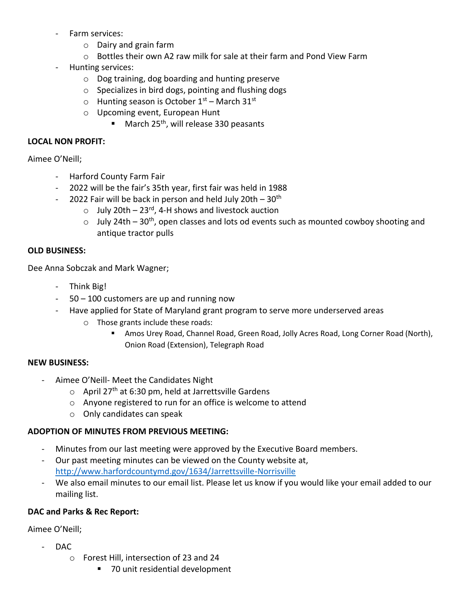- Farm services:
	- o Dairy and grain farm
	- o Bottles their own A2 raw milk for sale at their farm and Pond View Farm
- Hunting services:
	- o Dog training, dog boarding and hunting preserve
	- o Specializes in bird dogs, pointing and flushing dogs
	- $\circ$  Hunting season is October 1<sup>st</sup> March 31<sup>st</sup>
	- o Upcoming event, European Hunt
		- March 25<sup>th</sup>, will release 330 peasants

## **LOCAL NON PROFIT:**

Aimee O'Neill;

- Harford County Farm Fair
- 2022 will be the fair's 35th year, first fair was held in 1988
- 2022 Fair will be back in person and held July 20th  $-30<sup>th</sup>$ 
	- o July 20th 23rd, 4-H shows and livestock auction
	- $\circ$  July 24th 30<sup>th</sup>, open classes and lots od events such as mounted cowboy shooting and antique tractor pulls

# **OLD BUSINESS:**

Dee Anna Sobczak and Mark Wagner;

- Think Big!
- 50 100 customers are up and running now
- Have applied for State of Maryland grant program to serve more underserved areas
	- o Those grants include these roads:
		- **E** Amos Urey Road, Channel Road, Green Road, Jolly Acres Road, Long Corner Road (North), Onion Road (Extension), Telegraph Road

# **NEW BUSINESS:**

- Aimee O'Neill- Meet the Candidates Night
	- $\circ$  April 27<sup>th</sup> at 6:30 pm, held at Jarrettsville Gardens
	- o Anyone registered to run for an office is welcome to attend
	- o Only candidates can speak

# **ADOPTION OF MINUTES FROM PREVIOUS MEETING:**

- Minutes from our last meeting were approved by the Executive Board members.
- Our past meeting minutes can be viewed on the County website at, <http://www.harfordcountymd.gov/1634/Jarrettsville-Norrisville>
- We also email minutes to our email list. Please let us know if you would like your email added to our mailing list.

# **DAC and Parks & Rec Report:**

Aimee O'Neill;

- DAC
	- o Forest Hill, intersection of 23 and 24
		- 70 unit residential development